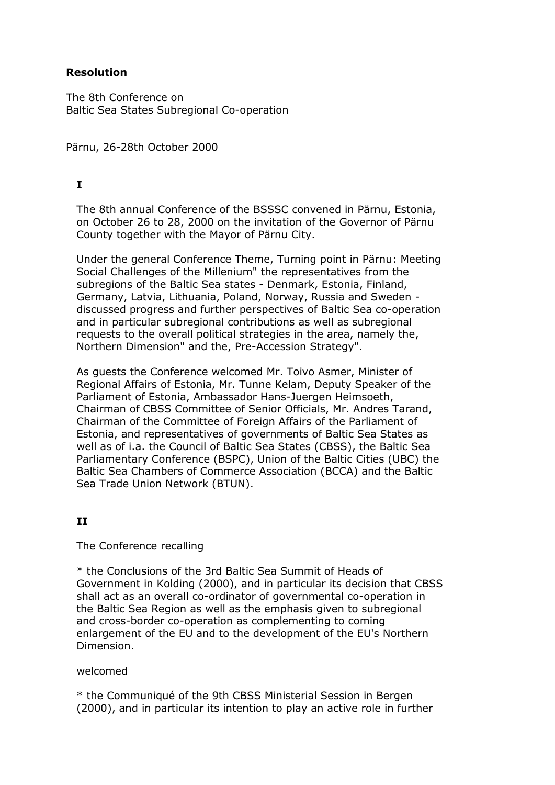## **Resolution**

The 8th Conference on Baltic Sea States Subregional Co-operation

Pärnu, 26-28th October 2000

## **I**

The 8th annual Conference of the BSSSC convened in Pärnu, Estonia, on October 26 to 28, 2000 on the invitation of the Governor of Pärnu County together with the Mayor of Pärnu City.

Under the general Conference Theme, Turning point in Pärnu: Meeting Social Challenges of the Millenium" the representatives from the subregions of the Baltic Sea states - Denmark, Estonia, Finland, Germany, Latvia, Lithuania, Poland, Norway, Russia and Sweden discussed progress and further perspectives of Baltic Sea co-operation and in particular subregional contributions as well as subregional requests to the overall political strategies in the area, namely the, Northern Dimension" and the, Pre-Accession Strategy".

As guests the Conference welcomed Mr. Toivo Asmer, Minister of Regional Affairs of Estonia, Mr. Tunne Kelam, Deputy Speaker of the Parliament of Estonia, Ambassador Hans-Juergen Heimsoeth, Chairman of CBSS Committee of Senior Officials, Mr. Andres Tarand, Chairman of the Committee of Foreign Affairs of the Parliament of Estonia, and representatives of governments of Baltic Sea States as well as of i.a. the Council of Baltic Sea States (CBSS), the Baltic Sea Parliamentary Conference (BSPC), Union of the Baltic Cities (UBC) the Baltic Sea Chambers of Commerce Association (BCCA) and the Baltic Sea Trade Union Network (BTUN).

## **II**

The Conference recalling

\* the Conclusions of the 3rd Baltic Sea Summit of Heads of Government in Kolding (2000), and in particular its decision that CBSS shall act as an overall co-ordinator of governmental co-operation in the Baltic Sea Region as well as the emphasis given to subregional and cross-border co-operation as complementing to coming enlargement of the EU and to the development of the EU's Northern Dimension.

### welcomed

\* the Communiqué of the 9th CBSS Ministerial Session in Bergen (2000), and in particular its intention to play an active role in further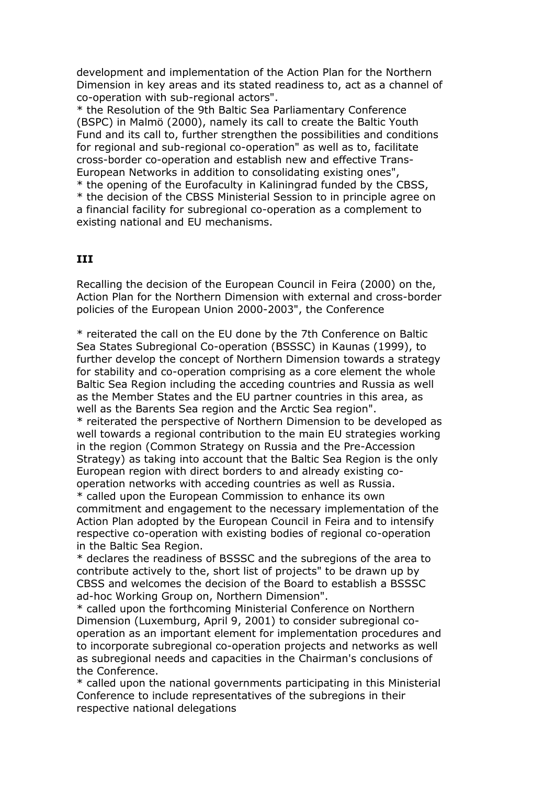development and implementation of the Action Plan for the Northern Dimension in key areas and its stated readiness to, act as a channel of co-operation with sub-regional actors".

\* the Resolution of the 9th Baltic Sea Parliamentary Conference (BSPC) in Malmö (2000), namely its call to create the Baltic Youth Fund and its call to, further strengthen the possibilities and conditions for regional and sub-regional co-operation" as well as to, facilitate cross-border co-operation and establish new and effective Trans-European Networks in addition to consolidating existing ones",

\* the opening of the Eurofaculty in Kaliningrad funded by the CBSS,

\* the decision of the CBSS Ministerial Session to in principle agree on a financial facility for subregional co-operation as a complement to existing national and EU mechanisms.

# **III**

Recalling the decision of the European Council in Feira (2000) on the, Action Plan for the Northern Dimension with external and cross-border policies of the European Union 2000-2003", the Conference

\* reiterated the call on the EU done by the 7th Conference on Baltic Sea States Subregional Co-operation (BSSSC) in Kaunas (1999), to further develop the concept of Northern Dimension towards a strategy for stability and co-operation comprising as a core element the whole Baltic Sea Region including the acceding countries and Russia as well as the Member States and the EU partner countries in this area, as well as the Barents Sea region and the Arctic Sea region". \* reiterated the perspective of Northern Dimension to be developed as well towards a regional contribution to the main EU strategies working in the region (Common Strategy on Russia and the Pre-Accession Strategy) as taking into account that the Baltic Sea Region is the only European region with direct borders to and already existing cooperation networks with acceding countries as well as Russia.

\* called upon the European Commission to enhance its own commitment and engagement to the necessary implementation of the Action Plan adopted by the European Council in Feira and to intensify respective co-operation with existing bodies of regional co-operation in the Baltic Sea Region.

\* declares the readiness of BSSSC and the subregions of the area to contribute actively to the, short list of projects" to be drawn up by CBSS and welcomes the decision of the Board to establish a BSSSC ad-hoc Working Group on, Northern Dimension".

\* called upon the forthcoming Ministerial Conference on Northern Dimension (Luxemburg, April 9, 2001) to consider subregional cooperation as an important element for implementation procedures and to incorporate subregional co-operation projects and networks as well as subregional needs and capacities in the Chairman's conclusions of the Conference.

\* called upon the national governments participating in this Ministerial Conference to include representatives of the subregions in their respective national delegations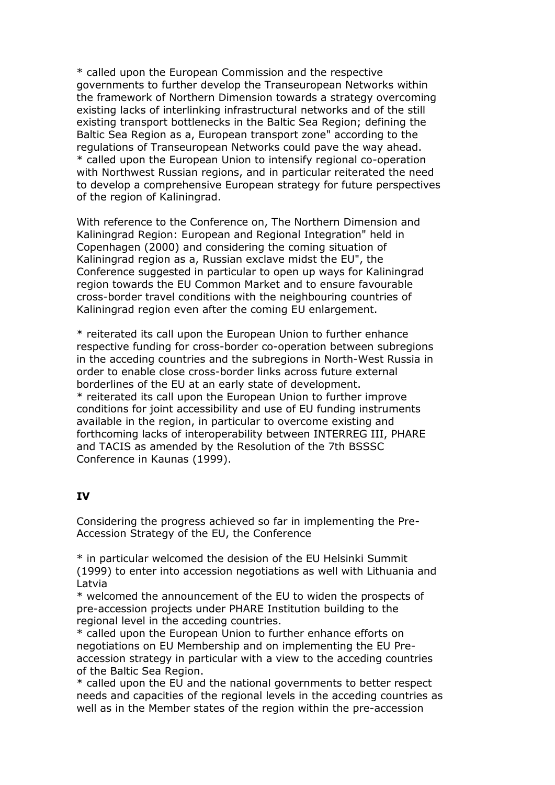\* called upon the European Commission and the respective governments to further develop the Transeuropean Networks within the framework of Northern Dimension towards a strategy overcoming existing lacks of interlinking infrastructural networks and of the still existing transport bottlenecks in the Baltic Sea Region; defining the Baltic Sea Region as a, European transport zone" according to the regulations of Transeuropean Networks could pave the way ahead. \* called upon the European Union to intensify regional co-operation with Northwest Russian regions, and in particular reiterated the need to develop a comprehensive European strategy for future perspectives of the region of Kaliningrad.

With reference to the Conference on, The Northern Dimension and Kaliningrad Region: European and Regional Integration" held in Copenhagen (2000) and considering the coming situation of Kaliningrad region as a, Russian exclave midst the EU", the Conference suggested in particular to open up ways for Kaliningrad region towards the EU Common Market and to ensure favourable cross-border travel conditions with the neighbouring countries of Kaliningrad region even after the coming EU enlargement.

\* reiterated its call upon the European Union to further enhance respective funding for cross-border co-operation between subregions in the acceding countries and the subregions in North-West Russia in order to enable close cross-border links across future external borderlines of the EU at an early state of development. \* reiterated its call upon the European Union to further improve conditions for joint accessibility and use of EU funding instruments available in the region, in particular to overcome existing and forthcoming lacks of interoperability between INTERREG III, PHARE and TACIS as amended by the Resolution of the 7th BSSSC Conference in Kaunas (1999).

### **IV**

Considering the progress achieved so far in implementing the Pre-Accession Strategy of the EU, the Conference

\* in particular welcomed the desision of the EU Helsinki Summit (1999) to enter into accession negotiations as well with Lithuania and Latvia

\* welcomed the announcement of the EU to widen the prospects of pre-accession projects under PHARE Institution building to the regional level in the acceding countries.

\* called upon the European Union to further enhance efforts on negotiations on EU Membership and on implementing the EU Preaccession strategy in particular with a view to the acceding countries of the Baltic Sea Region.

\* called upon the EU and the national governments to better respect needs and capacities of the regional levels in the acceding countries as well as in the Member states of the region within the pre-accession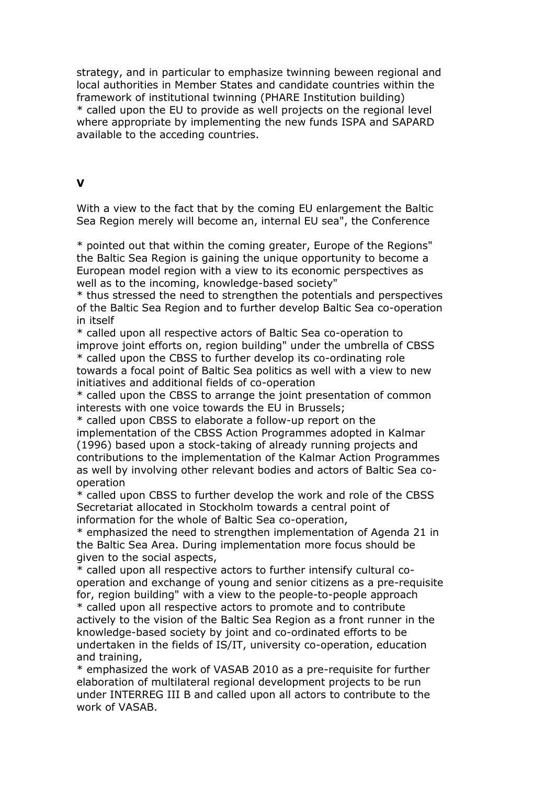strategy, and in particular to emphasize twinning beween regional and local authorities in Member States and candidate countries within the framework of institutional twinning (PHARE Institution building) \* called upon the EU to provide as well projects on the regional level where appropriate by implementing the new funds ISPA and SAPARD available to the acceding countries.

### **V**

With a view to the fact that by the coming EU enlargement the Baltic Sea Region merely will become an, internal EU sea", the Conference

\* pointed out that within the coming greater, Europe of the Regions" the Baltic Sea Region is gaining the unique opportunity to become a European model region with a view to its economic perspectives as well as to the incoming, knowledge-based society"

\* thus stressed the need to strengthen the potentials and perspectives of the Baltic Sea Region and to further develop Baltic Sea co-operation in itself

\* called upon all respective actors of Baltic Sea co-operation to improve joint efforts on, region building" under the umbrella of CBSS \* called upon the CBSS to further develop its co-ordinating role towards a focal point of Baltic Sea politics as well with a view to new initiatives and additional fields of co-operation

\* called upon the CBSS to arrange the joint presentation of common interests with one voice towards the EU in Brussels;

\* called upon CBSS to elaborate a follow-up report on the implementation of the CBSS Action Programmes adopted in Kalmar (1996) based upon a stock-taking of already running projects and contributions to the implementation of the Kalmar Action Programmes as well by involving other relevant bodies and actors of Baltic Sea cooperation

\* called upon CBSS to further develop the work and role of the CBSS Secretariat allocated in Stockholm towards a central point of information for the whole of Baltic Sea co-operation,

\* emphasized the need to strengthen implementation of Agenda 21 in the Baltic Sea Area. During implementation more focus should be given to the social aspects,

\* called upon all respective actors to further intensify cultural cooperation and exchange of young and senior citizens as a pre-requisite for, region building" with a view to the people-to-people approach \* called upon all respective actors to promote and to contribute actively to the vision of the Baltic Sea Region as a front runner in the knowledge-based society by joint and co-ordinated efforts to be undertaken in the fields of IS/IT, university co-operation, education and training,

\* emphasized the work of VASAB 2010 as a pre-requisite for further elaboration of multilateral regional development projects to be run under INTERREG III B and called upon all actors to contribute to the work of VASAB.